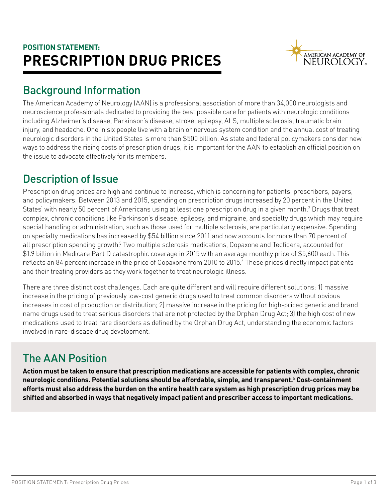

## Background Information

The American Academy of Neurology (AAN) is a professional association of more than 34,000 neurologists and neuroscience professionals dedicated to providing the best possible care for patients with neurologic conditions including Alzheimer's disease, Parkinson's disease, stroke, epilepsy, ALS, multiple sclerosis, traumatic brain injury, and headache. One in six people live with a brain or nervous system condition and the annual cost of treating neurologic disorders in the United States is more than \$500 billion. As state and federal policymakers consider new ways to address the rising costs of prescription drugs, it is important for the AAN to establish an official position on the issue to advocate effectively for its members.

## Description of Issue

Prescription drug prices are high and continue to increase, which is concerning for patients, prescribers, payers, and policymakers. Between 2013 and 2015, spending on prescription drugs increased by 20 percent in the United States<sup>1</sup> with nearly 50 percent of Americans using at least one prescription drug in a given month.<sup>2</sup> Drugs that treat complex, chronic conditions like Parkinson's disease, epilepsy, and migraine, and specialty drugs which may require special handling or administration, such as those used for multiple sclerosis, are particularly expensive. Spending on specialty medications has increased by \$54 billion since 2011 and now accounts for more than 70 percent of all prescription spending growth.<sup>3</sup> Two multiple sclerosis medications, Copaxone and Tecfidera, accounted for \$1.9 billion in Medicare Part D catastrophic coverage in 2015 with an average monthly price of \$5,600 each. This reflects an 84 percent increase in the price of Copaxone from 2010 to 2015.4 These prices directly impact patients and their treating providers as they work together to treat neurologic illness.

There are three distinct cost challenges. Each are quite different and will require different solutions: 1) massive increase in the pricing of previously low-cost generic drugs used to treat common disorders without obvious increases in cost of production or distribution; 2) massive increase in the pricing for high-priced generic and brand name drugs used to treat serious disorders that are not protected by the Orphan Drug Act; 3) the high cost of new medications used to treat rare disorders as defined by the Orphan Drug Act, understanding the economic factors involved in rare-disease drug development.

## The AAN Position

**Action must be taken to ensure that prescription medications are accessible for patients with complex, chronic neurologic conditions. Potential solutions should be affordable, simple, and transparent.**<sup>5</sup>  **Cost-containment efforts must also address the burden on the entire health care system as high prescription drug prices may be shifted and absorbed in ways that negatively impact patient and prescriber access to important medications.**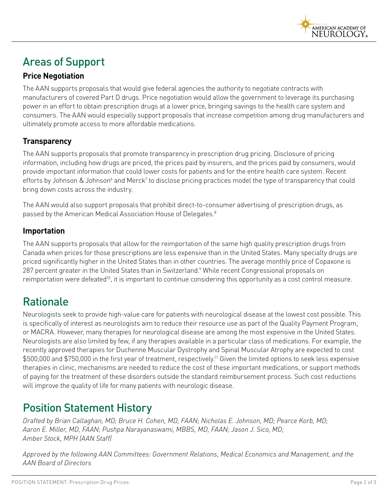

# Areas of Support

### **Price Negotiation**

The AAN supports proposals that would give federal agencies the authority to negotiate contracts with manufacturers of covered Part D drugs. Price negotiation would allow the government to leverage its purchasing power in an effort to obtain prescription drugs at a lower price, bringing savings to the health care system and consumers. The AAN would especially support proposals that increase competition among drug manufacturers and ultimately promote access to more affordable medications.

#### **Transparency**

The AAN supports proposals that promote transparency in prescription drug pricing. Disclosure of pricing information, including how drugs are priced, the prices paid by insurers, and the prices paid by consumers, would provide important information that could lower costs for patients and for the entire health care system. Recent efforts by Johnson & Johnson<sup>6</sup> and Merck<sup>7</sup> to disclose pricing practices model the type of transparency that could bring down costs across the industry.

The AAN would also support proposals that prohibit direct-to-consumer advertising of prescription drugs, as passed by the American Medical Association House of Delegates.8

#### **Importation**

The AAN supports proposals that allow for the reimportation of the same high quality prescription drugs from Canada when prices for those prescriptions are less expensive than in the United States. Many specialty drugs are priced significantly higher in the United States than in other countries. The average monthly price of Copaxone is 287 percent greater in the United States than in Switzerland.<sup>9</sup> While recent Congressional proposals on reimportation were defeated10, it is important to continue considering this opportunity as a cost control measure.

### Rationale

Neurologists seek to provide high-value care for patients with neurological disease at the lowest cost possible. This is specifically of interest as neurologists aim to reduce their resource use as part of the Quality Payment Program, or MACRA. However, many therapies for neurological disease are among the most expensive in the United States. Neurologists are also limited by few, if any therapies available in a particular class of medications. For example, the recently approved therapies for Duchenne Muscular Dystrophy and Spinal Muscular Atrophy are expected to cost \$500,000 and \$750,000 in the first year of treatment, respectively.<sup>11</sup> Given the limited options to seek less expensive therapies in clinic, mechanisms are needed to reduce the cost of these important medications, or support methods of paying for the treatment of these disorders outside the standard reimbursement process. Such cost reductions will improve the quality of life for many patients with neurologic disease.

### Position Statement History

*Drafted by Brian Callaghan, MD; Bruce H. Cohen, MD, FAAN; Nicholas E. Johnson, MD; Pearce Korb, MD; Aaron E. Miller, MD, FAAN; Pushpa Narayanaswami, MBBS, MD, FAAN; Jason J. Sico, MD; Amber Stock, MPH (AAN Staff)*

*Approved by the following AAN Committees: Government Relations, Medical Economics and Management, and the AAN Board of Directors*